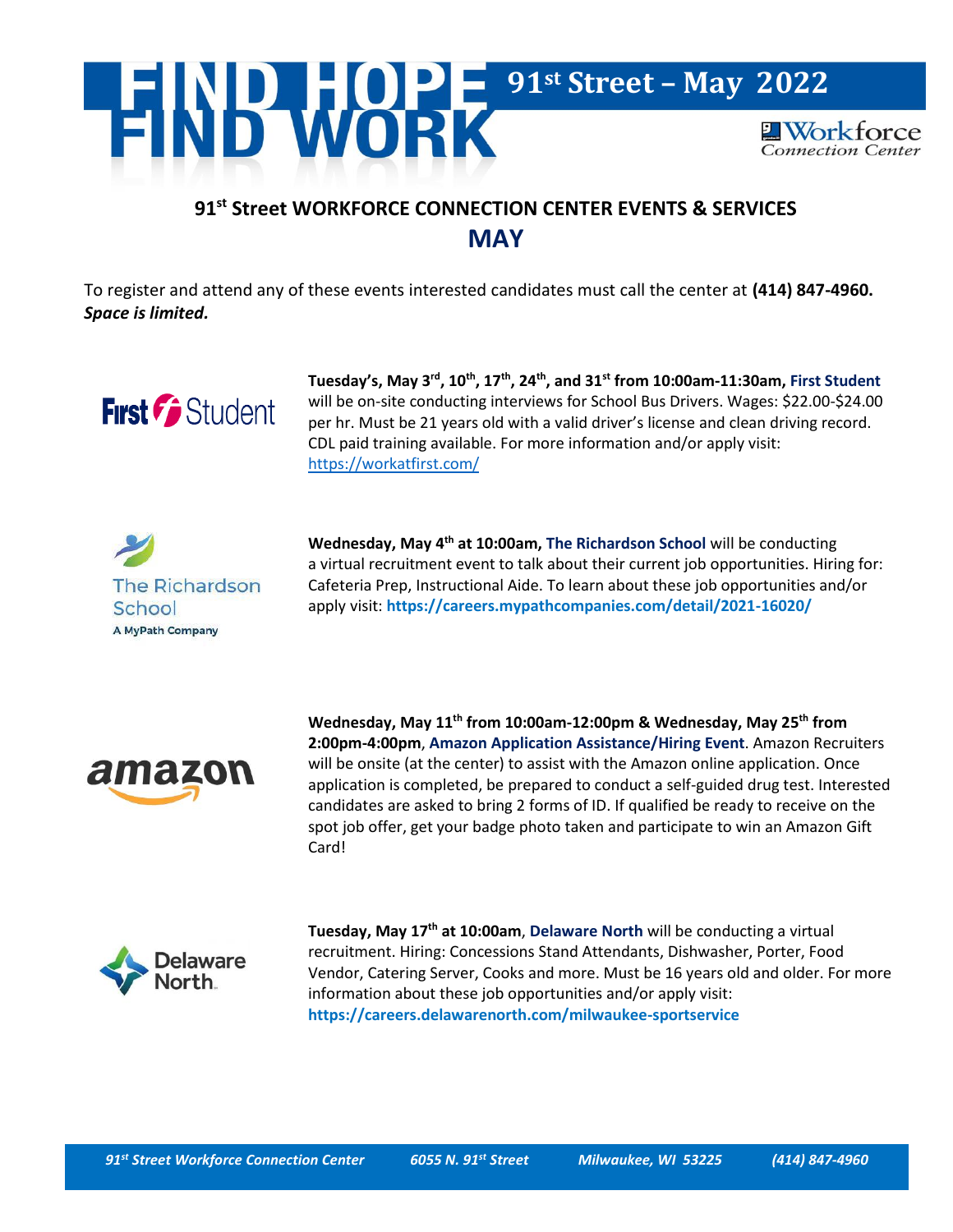

## **91st Street WORKFORCE CONNECTION CENTER EVENTS & SERVICES MAY**

To register and attend any of these events interested candidates must call the center at **(414) 847-4960.** *Space is limited.*



**Tuesday's, May 3rd, 10th, 17th, 24th , and 31st from 10:00am-11:30am, First Student** will be on-site conducting interviews for School Bus Drivers. Wages: \$22.00-\$24.00 per hr. Must be 21 years old with a valid driver's license and clean driving record. CDL paid training available. For more information and/or apply visit: <https://workatfirst.com/>



**Wednesday, May 4th at 10:00am, The Richardson School** will be conducting a virtual recruitment event to talk about their current job opportunities. Hiring for: Cafeteria Prep, Instructional Aide. To learn about these job opportunities and/or apply visit: **<https://careers.mypathcompanies.com/detail/2021-16020/>**



**Wednesday, May 11th from 10:00am-12:00pm & Wednesday, May 25 th from 2:00pm-4:00pm**, **Amazon Application Assistance/Hiring Event**. Amazon Recruiters will be onsite (at the center) to assist with the Amazon online application. Once application is completed, be prepared to conduct a self-guided drug test. Interested candidates are asked to bring 2 forms of ID. If qualified be ready to receive on the spot job offer, get your badge photo taken and participate to win an Amazon Gift Card!



**Tuesday, May 17th at 10:00am**, **Delaware North** will be conducting a virtual recruitment. Hiring: Concessions Stand Attendants, Dishwasher, Porter, Food Vendor, Catering Server, Cooks and more. Must be 16 years old and older. For more information about these job opportunities and/or apply visit: **<https://careers.delawarenorth.com/milwaukee-sportservice>**